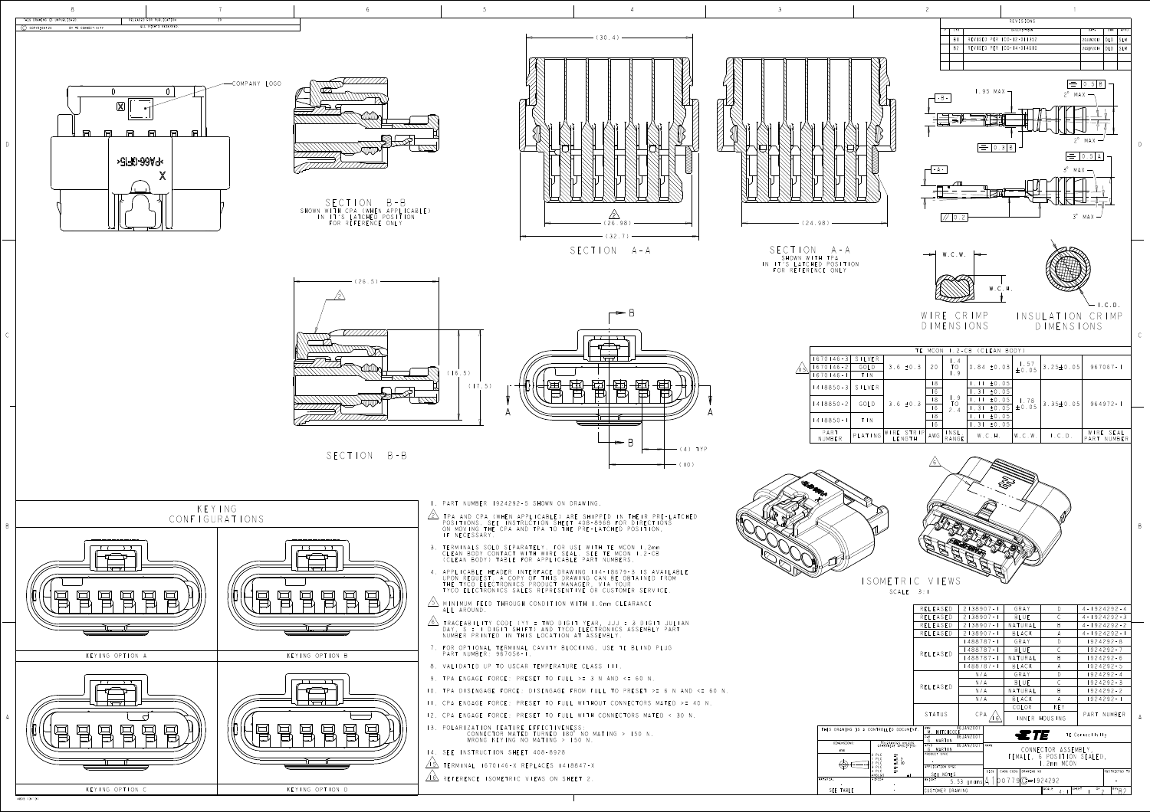| THIS DRAWING IS A CONTROLLED |                                                                                        |
|------------------------------|----------------------------------------------------------------------------------------|
|                              |                                                                                        |
| DIMENSIONS:                  | TOLERAN<br>OTHERWISE                                                                   |
| mm                           |                                                                                        |
|                              | PLC<br>0<br>Ⅎ<br>H<br>H<br>PLC<br>2<br>PLC<br>노<br>노<br>3<br>PLC<br>PLC<br>4<br>ANGLES |
| MATERIAL                     | FINISH                                                                                 |
|                              |                                                                                        |
| SEE TABLE                    |                                                                                        |

D

B









SECTION A-A SHOWN WITH TPA II'S LATCHED POSIT R REFERENCE ON





|                                                                                                                                                    |                                                                 |  | RELEASED                                                                                 | $2138907 - 1$ |      | GRAY                                     | $\mathsf{D}$   | $4 - 1924292 - 4$ |  |
|----------------------------------------------------------------------------------------------------------------------------------------------------|-----------------------------------------------------------------|--|------------------------------------------------------------------------------------------|---------------|------|------------------------------------------|----------------|-------------------|--|
|                                                                                                                                                    |                                                                 |  | RELEASED                                                                                 | $2138907 - 1$ |      | <b>BLUE</b>                              | $\mathcal{C}$  | $4 - 1924292 - 3$ |  |
|                                                                                                                                                    |                                                                 |  | RELEASED                                                                                 | $2138907 - 1$ |      | NATURAL                                  | B              | $4 - 1924292 - 2$ |  |
|                                                                                                                                                    |                                                                 |  | RELEASED                                                                                 | $2138907 - 1$ |      | BLACK                                    | A              | $4 - 1924292 - 1$ |  |
|                                                                                                                                                    |                                                                 |  |                                                                                          | 488787-1      |      | GRAY                                     | $\mathsf{D}$   | $1924292 - 8$     |  |
|                                                                                                                                                    |                                                                 |  |                                                                                          | $488787 - 1$  |      | BLUE                                     | $\overline{C}$ | $1924292 - 7$     |  |
|                                                                                                                                                    |                                                                 |  | RELEASED                                                                                 | 488787-1      |      | NATURAL                                  | B              | 1924292-6         |  |
|                                                                                                                                                    |                                                                 |  |                                                                                          | $488787 - 1$  |      | BLACK                                    | A              | $1924292 - 5$     |  |
|                                                                                                                                                    |                                                                 |  |                                                                                          | N/A           |      | GRAY                                     | $\mathsf{D}$   | $1924292 - 4$     |  |
|                                                                                                                                                    |                                                                 |  |                                                                                          | N/A           |      | <b>BLUE</b>                              | $\mathcal{C}$  | $1924292 - 3$     |  |
|                                                                                                                                                    |                                                                 |  | RELEASED                                                                                 | N/A           |      | NATURAL                                  | B              | $1924292 - 2$     |  |
|                                                                                                                                                    |                                                                 |  |                                                                                          | N/A           |      | BLACK                                    | $\overline{A}$ | $1924292 - 1$     |  |
|                                                                                                                                                    |                                                                 |  |                                                                                          |               |      | COLOR                                    | KEY            |                   |  |
|                                                                                                                                                    |                                                                 |  | STATUS                                                                                   | CPA<br>-61    |      | INNER HOUSING                            |                | PART NUMBER       |  |
| 16JAN2007<br>DWN<br>DRAWING IS A CONTROLLED DOCUMENT.<br>HITCHCOCK<br>$M$ .<br>ETE<br>TE Connectivity<br>6 JAN 2007<br>CHK                         |                                                                 |  |                                                                                          |               |      |                                          |                |                   |  |
| G.<br>MARTIN<br>DIMENSIONS:<br>TOLERANCES UNLESS<br>OTHERWISE SPECIFIED:<br>16JAN2007<br>APVD<br><b>NAME</b><br>G. MARTIN<br>mm<br>PRODUCT SPEC    |                                                                 |  |                                                                                          |               |      | CONNECTOR ASSEMBLY,                      |                |                   |  |
| O PLC<br>$\pm$ -<br>FEMALE, 6 POSITION SEALED,<br>PLC<br>$\pm 0.3$<br>I.2mm MCON<br>$\pm 0$ . $\pm 0$<br>PLC<br>APPLICATION SPEC<br>PLC<br>$\pm$ - |                                                                 |  |                                                                                          |               |      |                                          |                |                   |  |
|                                                                                                                                                    | 4 PLC<br>$+$ -<br>ANGLES                                        |  | SEE NOTES                                                                                |               | SIZE | CAGE CODE<br>DRAWING NO<br>RESTRICTED TO |                |                   |  |
|                                                                                                                                                    | FINISH<br><b>WEIGHT</b><br>$ 00779 $ (C = 1924292<br>5.53 grams |  |                                                                                          |               |      |                                          |                |                   |  |
| EE TABLE                                                                                                                                           |                                                                 |  | SCALE<br>SHEET<br>$\overline{or}$ 2<br>$REV$ <sub>B</sub> $2$<br>CUSTOMER DRAWING<br>4:1 |               |      |                                          |                |                   |  |
|                                                                                                                                                    |                                                                 |  |                                                                                          |               |      |                                          |                |                   |  |

|                   | $.2 - CB$<br>(CLEAN BODY)<br>MCON<br>TE |             |                         |                |                            |                 |                                  |                 |                          |
|-------------------|-----------------------------------------|-------------|-------------------------|----------------|----------------------------|-----------------|----------------------------------|-----------------|--------------------------|
|                   | $1670146 - 3$                           | SILVER      |                         |                | $\vdash$ .4                |                 |                                  |                 |                          |
| $\vert 5 \rangle$ | $670146 - 2$                            | GOLD        | $3.6 \pm 0.3$           | 20             | TO                         | $0.84 \pm 0.03$ | $\frac{1.57}{\pm 0.05}$          | $3.25 \pm 0.05$ | $967067 - 1$             |
|                   | $670146 -$                              | T N         |                         |                | $\vert .9$                 |                 |                                  |                 |                          |
|                   | $1418850 - 3$                           | SILVER      |                         | 8              |                            | $11 \pm 0.05$   |                                  |                 |                          |
|                   |                                         |             |                         | 6 <sup>6</sup> |                            | $.31 \pm 0.05$  | $\frac{1}{2}$ . 78<br>$\pm 0.05$ | 3.35 $\pm$ 0.05 |                          |
|                   | $1418850 - 2$                           | GOLD        | $3.6 \pm 0.3$           | 8 <sup>1</sup> | $\lfloor .9 \rfloor$<br>TO | $\pm 0.05$      |                                  |                 | $964972 - 1$             |
|                   |                                         |             |                         | 6              | 2.4                        | $.31 \pm 0.05$  |                                  |                 |                          |
|                   | 4   8 8 5 0 - 1                         | $T \perp N$ |                         | 8              | $11 \pm 0.05$              |                 |                                  |                 |                          |
|                   |                                         |             |                         | $\overline{6}$ |                            | $.31 \pm 0.05$  |                                  |                 |                          |
|                   | PART<br>NUMBER                          | PLATING     | WIRE STRIP <br>  LENGTH | AWG            | INSL.<br>RANGE             | W.C.H.          | W.C.W.                           | $\vdash$ . C.D. | WIRE SEAL<br>PART NUMBER |
|                   |                                         |             |                         |                |                            |                 |                                  |                 |                          |
|                   | $\sqrt{6}$                              |             |                         |                |                            |                 |                                  |                 |                          |
|                   |                                         |             |                         |                |                            |                 |                                  |                 |                          |



- 
- 
- 
- 
- 
- 
- 10. TPA DISENGAGE FORCE: DISENGAGE FROM FULL TO PRESET >= 6 N AND <= 60 N.
	-
	-
	-
	-
- 
- 

WIRE CRIMP DIMENSIONS

ISOMETRIC VIEWS SCALE 3:1

INSULATION CRIMP DIMENSIONS



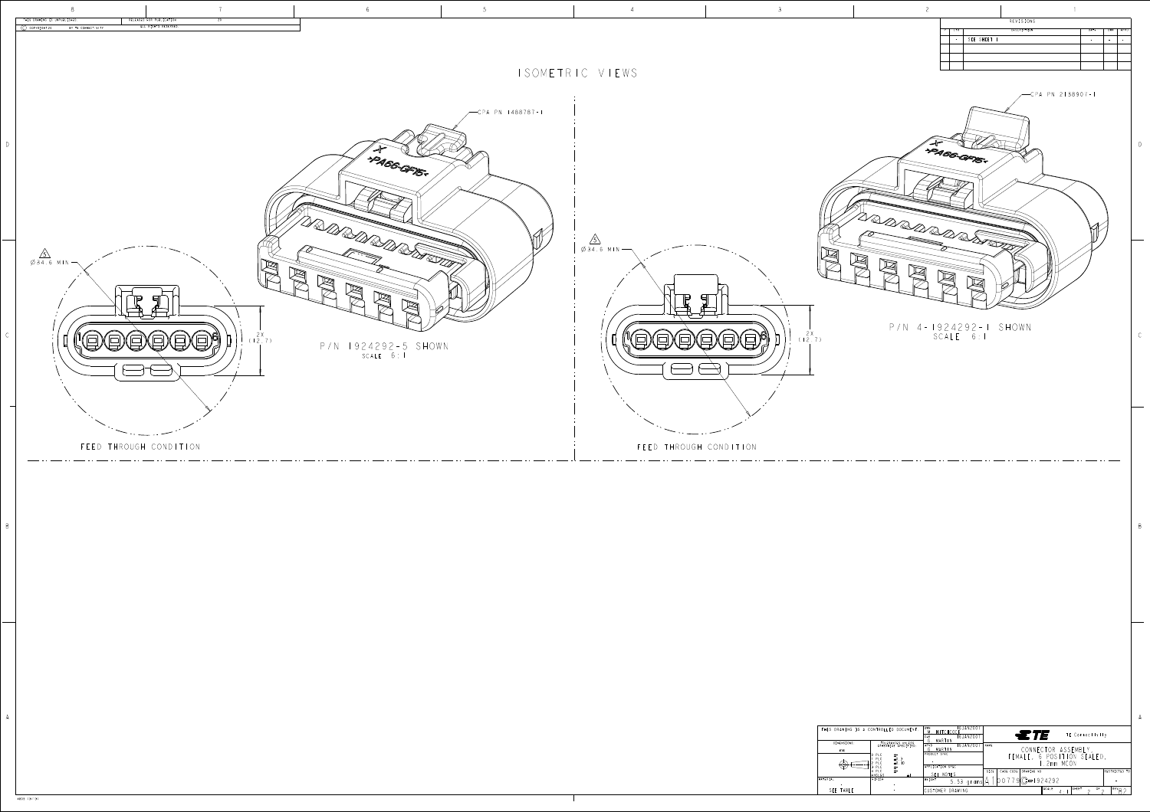| THIS DRAWING IS A CONTROLLED |                                                                                              |
|------------------------------|----------------------------------------------------------------------------------------------|
| DIMENSIONS:                  | TOLERANO<br>OTHERWISE                                                                        |
| mm                           | PLC<br>0                                                                                     |
|                              | PLC<br>E<br>E<br>2<br>PLC<br>$\overline{\mathbf{3}}$<br>Ε<br>PI C<br>Ë<br>PLC<br>4<br>ANGLES |
| MATERIAL                     | FINISH                                                                                       |
|                              |                                                                                              |
| SEE TABLE                    |                                                                                              |



4805 (3/13)

| THIS DRAWING IS UNPUBLISHED.<br>RELEASED FOR PUBLICATION                                                                                                                                                                                                                                                                                                                                                                                                                   |                                  |                                   |                                                                                                                                                                                                                                                                                                                                                                                                                                                                                                                                                                                                                                                                                                          |                                                                                                                                                                                                               |                                                                                                                                                                                                                                 |
|----------------------------------------------------------------------------------------------------------------------------------------------------------------------------------------------------------------------------------------------------------------------------------------------------------------------------------------------------------------------------------------------------------------------------------------------------------------------------|----------------------------------|-----------------------------------|----------------------------------------------------------------------------------------------------------------------------------------------------------------------------------------------------------------------------------------------------------------------------------------------------------------------------------------------------------------------------------------------------------------------------------------------------------------------------------------------------------------------------------------------------------------------------------------------------------------------------------------------------------------------------------------------------------|---------------------------------------------------------------------------------------------------------------------------------------------------------------------------------------------------------------|---------------------------------------------------------------------------------------------------------------------------------------------------------------------------------------------------------------------------------|
| ALL RIGHTS RESERVED.<br>(C) COPYRIGHT 20 BY TE CONNECTIVITY                                                                                                                                                                                                                                                                                                                                                                                                                |                                  |                                   |                                                                                                                                                                                                                                                                                                                                                                                                                                                                                                                                                                                                                                                                                                          |                                                                                                                                                                                                               | REVISIONS<br><b>DESCRIPTION</b><br>DATE   DWN   APVD<br>$-$ SEE SHEET I                                                                                                                                                         |
|                                                                                                                                                                                                                                                                                                                                                                                                                                                                            |                                  |                                   |                                                                                                                                                                                                                                                                                                                                                                                                                                                                                                                                                                                                                                                                                                          |                                                                                                                                                                                                               |                                                                                                                                                                                                                                 |
|                                                                                                                                                                                                                                                                                                                                                                                                                                                                            |                                  |                                   | ISOMETRIC VIEWS                                                                                                                                                                                                                                                                                                                                                                                                                                                                                                                                                                                                                                                                                          |                                                                                                                                                                                                               | CPA PN 2138907-1                                                                                                                                                                                                                |
|                                                                                                                                                                                                                                                                                                                                                                                                                                                                            |                                  | CPA PN 1488787-1                  |                                                                                                                                                                                                                                                                                                                                                                                                                                                                                                                                                                                                                                                                                                          |                                                                                                                                                                                                               |                                                                                                                                                                                                                                 |
|                                                                                                                                                                                                                                                                                                                                                                                                                                                                            |                                  |                                   |                                                                                                                                                                                                                                                                                                                                                                                                                                                                                                                                                                                                                                                                                                          |                                                                                                                                                                                                               |                                                                                                                                                                                                                                 |
|                                                                                                                                                                                                                                                                                                                                                                                                                                                                            | V PAGGERS                        |                                   |                                                                                                                                                                                                                                                                                                                                                                                                                                                                                                                                                                                                                                                                                                          |                                                                                                                                                                                                               | 1 PAGG-GFIG-                                                                                                                                                                                                                    |
|                                                                                                                                                                                                                                                                                                                                                                                                                                                                            |                                  |                                   |                                                                                                                                                                                                                                                                                                                                                                                                                                                                                                                                                                                                                                                                                                          |                                                                                                                                                                                                               |                                                                                                                                                                                                                                 |
|                                                                                                                                                                                                                                                                                                                                                                                                                                                                            |                                  |                                   |                                                                                                                                                                                                                                                                                                                                                                                                                                                                                                                                                                                                                                                                                                          |                                                                                                                                                                                                               |                                                                                                                                                                                                                                 |
|                                                                                                                                                                                                                                                                                                                                                                                                                                                                            |                                  |                                   | $\sqrt{5}$                                                                                                                                                                                                                                                                                                                                                                                                                                                                                                                                                                                                                                                                                               |                                                                                                                                                                                                               | $\frac{1}{\sqrt{\frac{1}{\sqrt{1-\frac{1}{2}}}}}$<br>$\mathcal{N}$                                                                                                                                                              |
| $\frac{5}{\cancel{0}34.6}$ MIN                                                                                                                                                                                                                                                                                                                                                                                                                                             | $\mathbb{R}$                     |                                   | $\emptyset$ 34.6 MIN $\longrightarrow$                                                                                                                                                                                                                                                                                                                                                                                                                                                                                                                                                                                                                                                                   | $\mathbb{\cancel{\boxtimes}}$<br>$\boxtimes$                                                                                                                                                                  | $\mathbb{\overline{M}}$                                                                                                                                                                                                         |
|                                                                                                                                                                                                                                                                                                                                                                                                                                                                            |                                  |                                   |                                                                                                                                                                                                                                                                                                                                                                                                                                                                                                                                                                                                                                                                                                          |                                                                                                                                                                                                               | $\boxtimes$<br>$\mathbb{Z}$                                                                                                                                                                                                     |
| $\Box$<br>$\Box$                                                                                                                                                                                                                                                                                                                                                                                                                                                           | 凶                                |                                   |                                                                                                                                                                                                                                                                                                                                                                                                                                                                                                                                                                                                                                                                                                          |                                                                                                                                                                                                               |                                                                                                                                                                                                                                 |
|                                                                                                                                                                                                                                                                                                                                                                                                                                                                            | 12.7)                            |                                   | $\textcircled{\textcircled{\scriptsize{\#}}}\textcircled{\textcircled{\scriptsize{\#}}}\textcircled{\textcircled{\scriptsize{\#}}}\textcircled{\textcircled{\scriptsize{\#}}}\textcircled{\textcircled{\scriptsize{\#}}}\textcircled{\textcircled{\scriptsize{\#}}}\textcircled{\textcircled{\scriptsize{\#}}}\textcircled{\textcircled{\scriptsize{\#}}}\textcircled{\textcircled{\scriptsize{\#}}}\textcircled{\textcircled{\scriptsize{\#}}}\textcircled{\textcircled{\scriptsize{\#}}}\textcircled{\textcircled{\scriptsize{\#}}}\textcircled{\textcircled{\scriptsize{\#}}}\textcircled{\textcircled{\scriptsize{\#}}}\textcircled{\textcircled{\scriptsize{\#}}}\textcircled{\textcircled{\script$ | (12.7)                                                                                                                                                                                                        | P/N 4-1924292-1 SHOWN<br>SCALE 6:1                                                                                                                                                                                              |
|                                                                                                                                                                                                                                                                                                                                                                                                                                                                            | P/N 1924292-5 SHOWN<br>scale 6:1 |                                   |                                                                                                                                                                                                                                                                                                                                                                                                                                                                                                                                                                                                                                                                                                          |                                                                                                                                                                                                               |                                                                                                                                                                                                                                 |
|                                                                                                                                                                                                                                                                                                                                                                                                                                                                            |                                  |                                   |                                                                                                                                                                                                                                                                                                                                                                                                                                                                                                                                                                                                                                                                                                          |                                                                                                                                                                                                               |                                                                                                                                                                                                                                 |
|                                                                                                                                                                                                                                                                                                                                                                                                                                                                            |                                  |                                   |                                                                                                                                                                                                                                                                                                                                                                                                                                                                                                                                                                                                                                                                                                          |                                                                                                                                                                                                               |                                                                                                                                                                                                                                 |
| $\cdots$ $\cdots$ $\cdots$<br>FEED THROUGH CONDITION                                                                                                                                                                                                                                                                                                                                                                                                                       |                                  |                                   | FEED THROUGH CONDITION                                                                                                                                                                                                                                                                                                                                                                                                                                                                                                                                                                                                                                                                                   |                                                                                                                                                                                                               |                                                                                                                                                                                                                                 |
| $\frac{1}{2} \left( \frac{1}{2} \right) \left( \frac{1}{2} \right) \left( \frac{1}{2} \right) \left( \frac{1}{2} \right) \left( \frac{1}{2} \right) \left( \frac{1}{2} \right) \left( \frac{1}{2} \right) \left( \frac{1}{2} \right) \left( \frac{1}{2} \right) \left( \frac{1}{2} \right) \left( \frac{1}{2} \right) \left( \frac{1}{2} \right) \left( \frac{1}{2} \right) \left( \frac{1}{2} \right) \left( \frac{1}{2} \right) \left( \frac{1}{2} \right) \left( \frac$ | ______                           | and the state of the state of the |                                                                                                                                                                                                                                                                                                                                                                                                                                                                                                                                                                                                                                                                                                          |                                                                                                                                                                                                               |                                                                                                                                                                                                                                 |
|                                                                                                                                                                                                                                                                                                                                                                                                                                                                            |                                  |                                   |                                                                                                                                                                                                                                                                                                                                                                                                                                                                                                                                                                                                                                                                                                          |                                                                                                                                                                                                               |                                                                                                                                                                                                                                 |
|                                                                                                                                                                                                                                                                                                                                                                                                                                                                            |                                  |                                   |                                                                                                                                                                                                                                                                                                                                                                                                                                                                                                                                                                                                                                                                                                          |                                                                                                                                                                                                               |                                                                                                                                                                                                                                 |
|                                                                                                                                                                                                                                                                                                                                                                                                                                                                            |                                  |                                   |                                                                                                                                                                                                                                                                                                                                                                                                                                                                                                                                                                                                                                                                                                          |                                                                                                                                                                                                               |                                                                                                                                                                                                                                 |
|                                                                                                                                                                                                                                                                                                                                                                                                                                                                            |                                  |                                   |                                                                                                                                                                                                                                                                                                                                                                                                                                                                                                                                                                                                                                                                                                          |                                                                                                                                                                                                               |                                                                                                                                                                                                                                 |
|                                                                                                                                                                                                                                                                                                                                                                                                                                                                            |                                  |                                   |                                                                                                                                                                                                                                                                                                                                                                                                                                                                                                                                                                                                                                                                                                          |                                                                                                                                                                                                               |                                                                                                                                                                                                                                 |
|                                                                                                                                                                                                                                                                                                                                                                                                                                                                            |                                  |                                   |                                                                                                                                                                                                                                                                                                                                                                                                                                                                                                                                                                                                                                                                                                          |                                                                                                                                                                                                               |                                                                                                                                                                                                                                 |
|                                                                                                                                                                                                                                                                                                                                                                                                                                                                            |                                  |                                   |                                                                                                                                                                                                                                                                                                                                                                                                                                                                                                                                                                                                                                                                                                          |                                                                                                                                                                                                               |                                                                                                                                                                                                                                 |
|                                                                                                                                                                                                                                                                                                                                                                                                                                                                            |                                  |                                   |                                                                                                                                                                                                                                                                                                                                                                                                                                                                                                                                                                                                                                                                                                          |                                                                                                                                                                                                               |                                                                                                                                                                                                                                 |
|                                                                                                                                                                                                                                                                                                                                                                                                                                                                            |                                  |                                   |                                                                                                                                                                                                                                                                                                                                                                                                                                                                                                                                                                                                                                                                                                          |                                                                                                                                                                                                               |                                                                                                                                                                                                                                 |
|                                                                                                                                                                                                                                                                                                                                                                                                                                                                            |                                  |                                   |                                                                                                                                                                                                                                                                                                                                                                                                                                                                                                                                                                                                                                                                                                          | THIS DRAWING IS A CONTROLLED DOCUMENT.                                                                                                                                                                        | 16 JAN2007<br>HITCHCOCK 16 JAN2007<br>$\epsilon$ to $T$<br>TE Connectivity                                                                                                                                                      |
|                                                                                                                                                                                                                                                                                                                                                                                                                                                                            |                                  |                                   |                                                                                                                                                                                                                                                                                                                                                                                                                                                                                                                                                                                                                                                                                                          | TOLERANCES UNLESS<br>OTHERWISE SPECIFIED:<br>DIMENSIONS:<br>mm<br>$\begin{array}{cc} 10 \text{ } \text{PLC} & \pm \text{-} \\ 1 \text{ } \text{PLC} & \pm 0.3 \\ \text{? } \text{PLC} & \pm 0.10 \end{array}$ | MARTIN<br>16JAN2007 NAME<br>CONNECTOR ASSEMBLY,<br>FEMALE, 6 POSITION SEALED,<br>I.2mm MCON<br><b>G.</b> MARTIN                                                                                                                 |
|                                                                                                                                                                                                                                                                                                                                                                                                                                                                            |                                  |                                   |                                                                                                                                                                                                                                                                                                                                                                                                                                                                                                                                                                                                                                                                                                          | $\bigoplus$<br>PLC<br>ANGLES<br>FINISH<br>MATERIAL<br>$\alpha$ , $\alpha$ , $\alpha$ , $\alpha$<br>$\sim$                                                                                                     | $\alpha$ , $\alpha$ , $\alpha$ , $\alpha$ , $\alpha$ , $\alpha$<br>APPLICATION SPEC<br>SIZE   CAGE CODE   DRAWING NO<br>RESTRICTED TH<br>SEE NOTES<br>$100779C = 1924292$<br>WEIGHT<br>$5.53$ grams $A$<br>$\sim 100$ m $^{-1}$ |
|                                                                                                                                                                                                                                                                                                                                                                                                                                                                            |                                  |                                   |                                                                                                                                                                                                                                                                                                                                                                                                                                                                                                                                                                                                                                                                                                          | SEE TABLE                                                                                                                                                                                                     | SCALE $4:1$ SHEET $2^{OF}$<br>$R$ $R^2$ $R^2$<br>USTOMER DRAWING                                                                                                                                                                |